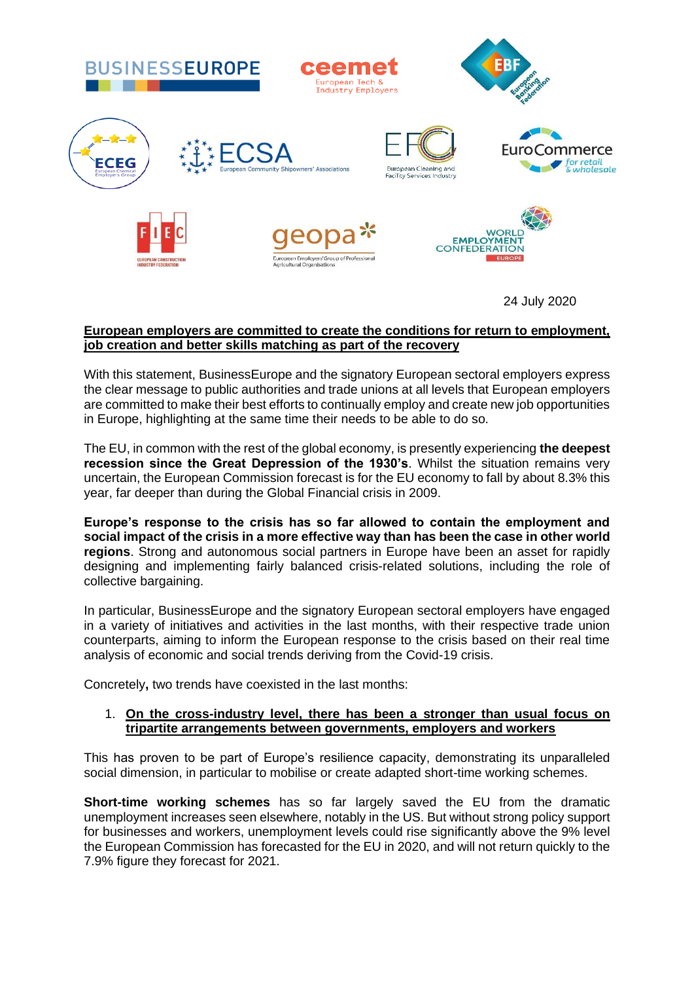

24 July 2020

## **European employers are committed to create the conditions for return to employment, job creation and better skills matching as part of the recovery**

With this statement, BusinessEurope and the signatory European sectoral employers express the clear message to public authorities and trade unions at all levels that European employers are committed to make their best efforts to continually employ and create new job opportunities in Europe, highlighting at the same time their needs to be able to do so.

The EU, in common with the rest of the global economy, is presently experiencing **the deepest recession since the Great Depression of the 1930's**. Whilst the situation remains very uncertain, the European Commission forecast is for the EU economy to fall by about 8.3% this year, far deeper than during the Global Financial crisis in 2009.

**Europe's response to the crisis has so far allowed to contain the employment and social impact of the crisis in a more effective way than has been the case in other world regions**. Strong and autonomous social partners in Europe have been an asset for rapidly designing and implementing fairly balanced crisis-related solutions, including the role of collective bargaining.

In particular, BusinessEurope and the signatory European sectoral employers have engaged in a variety of initiatives and activities in the last months, with their respective trade union counterparts, aiming to inform the European response to the crisis based on their real time analysis of economic and social trends deriving from the Covid-19 crisis.

Concretely**,** two trends have coexisted in the last months:

## 1. **On the cross-industry level, there has been a stronger than usual focus on tripartite arrangements between governments, employers and workers**

This has proven to be part of Europe's resilience capacity, demonstrating its unparalleled social dimension, in particular to mobilise or create adapted short-time working schemes.

**Short-time working schemes** has so far largely saved the EU from the dramatic unemployment increases seen elsewhere, notably in the US. But without strong policy support for businesses and workers, unemployment levels could rise significantly above the 9% level the European Commission has forecasted for the EU in 2020, and will not return quickly to the 7.9% figure they forecast for 2021.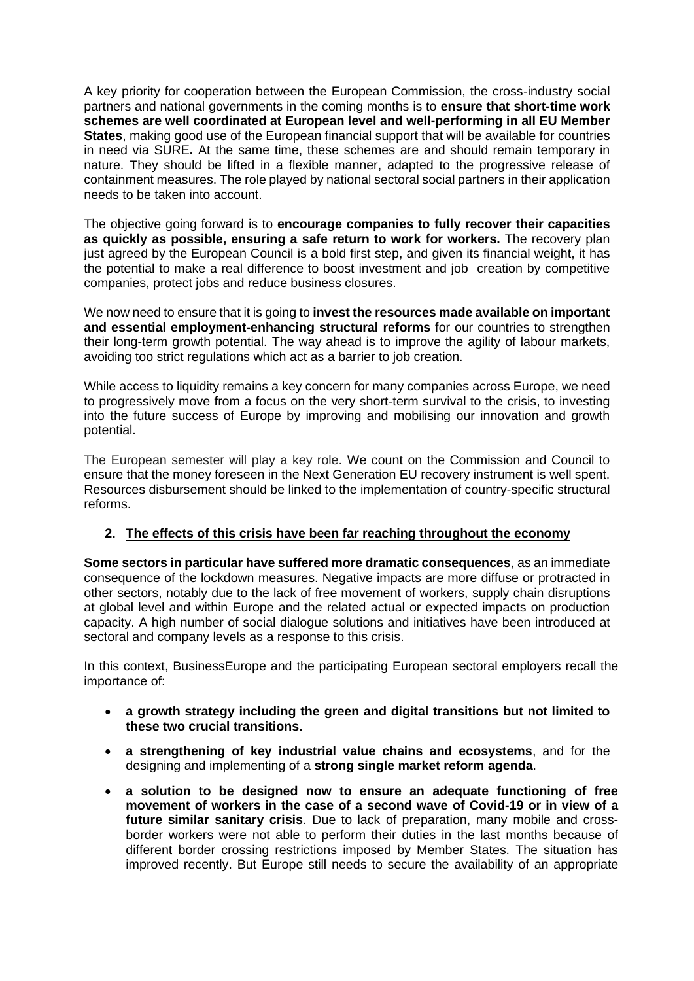A key priority for cooperation between the European Commission, the cross-industry social partners and national governments in the coming months is to **ensure that short-time work schemes are well coordinated at European level and well-performing in all EU Member States**, making good use of the European financial support that will be available for countries in need via SURE**.** At the same time, these schemes are and should remain temporary in nature. They should be lifted in a flexible manner, adapted to the progressive release of containment measures. The role played by national sectoral social partners in their application needs to be taken into account.

The objective going forward is to **encourage companies to fully recover their capacities as quickly as possible, ensuring a safe return to work for workers.** The recovery plan just agreed by the European Council is a bold first step, and given its financial weight, it has the potential to make a real difference to boost investment and job creation by competitive companies, protect jobs and reduce business closures.

We now need to ensure that it is going to **invest the resources made available on important and essential employment-enhancing structural reforms** for our countries to strengthen their long-term growth potential. The way ahead is to improve the agility of labour markets, avoiding too strict regulations which act as a barrier to job creation.

While access to liquidity remains a key concern for many companies across Europe, we need to progressively move from a focus on the very short-term survival to the crisis, to investing into the future success of Europe by improving and mobilising our innovation and growth potential.

The European semester will play a key role. We count on the Commission and Council to ensure that the money foreseen in the Next Generation EU recovery instrument is well spent. Resources disbursement should be linked to the implementation of country-specific structural reforms.

## **2. The effects of this crisis have been far reaching throughout the economy**

**Some sectors in particular have suffered more dramatic consequences**, as an immediate consequence of the lockdown measures. Negative impacts are more diffuse or protracted in other sectors, notably due to the lack of free movement of workers, supply chain disruptions at global level and within Europe and the related actual or expected impacts on production capacity. A high number of social dialogue solutions and initiatives have been introduced at sectoral and company levels as a response to this crisis.

In this context, BusinessEurope and the participating European sectoral employers recall the importance of:

- **a growth strategy including the green and digital transitions but not limited to these two crucial transitions.**
- **a strengthening of key industrial value chains and ecosystems**, and for the designing and implementing of a **strong single market reform agenda**.
- **a solution to be designed now to ensure an adequate functioning of free movement of workers in the case of a second wave of Covid-19 or in view of a future similar sanitary crisis**. Due to lack of preparation, many mobile and crossborder workers were not able to perform their duties in the last months because of different border crossing restrictions imposed by Member States. The situation has improved recently. But Europe still needs to secure the availability of an appropriate